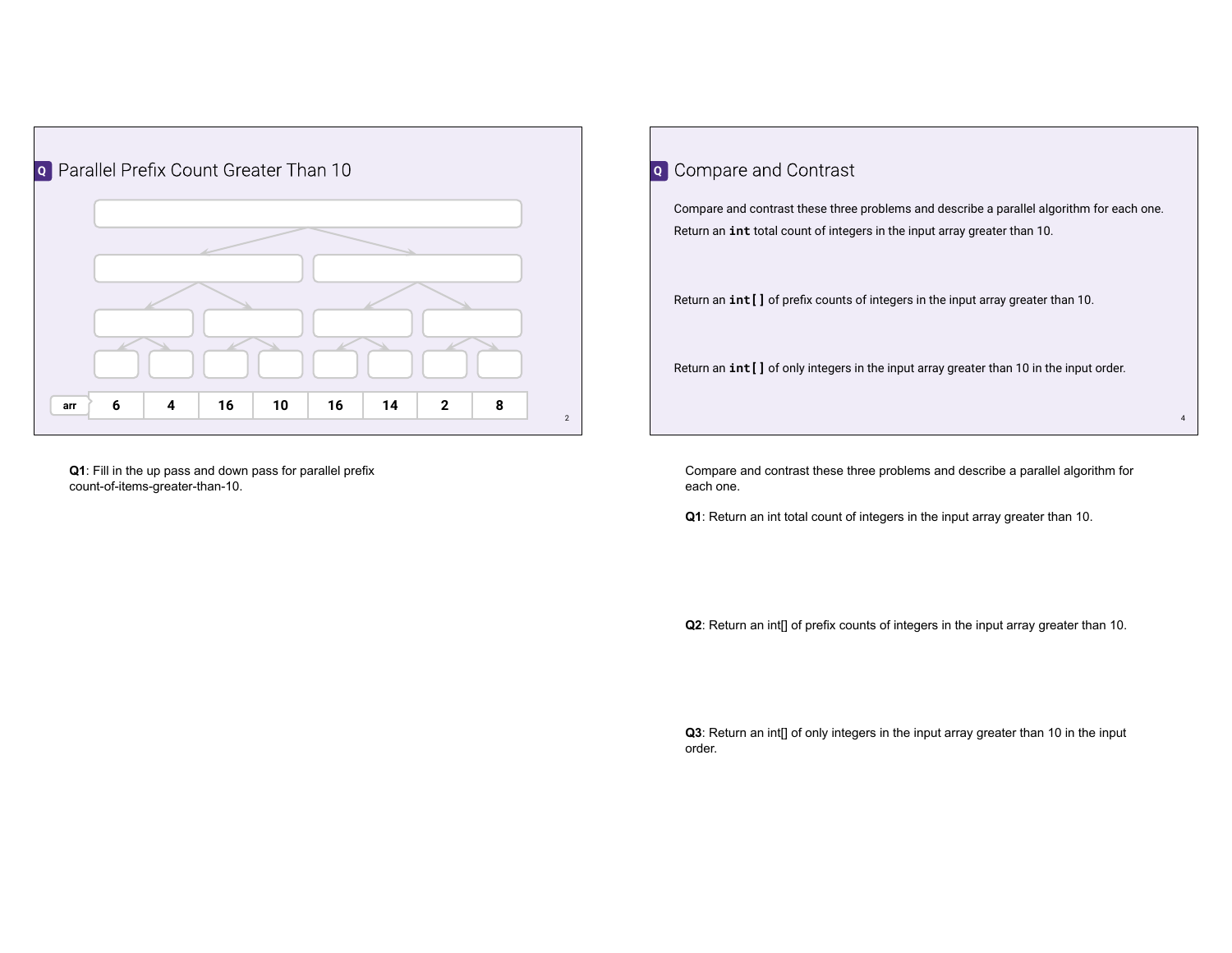

**Q1**: Fill in the up pass and down pass for parallel prefix count-of-items-greater-than-10.

## Compare and contrast these three problems and describe a parallel algorithm for each one. Return an **int** total count of integers in the input array greater than 10. Return an **int[]** of prefix counts of integers in the input array greater than 10. Return an **int[]** of only integers in the input array greater than 10 in the input order. **Q** Compare and Contrast

Compare and contrast these three problems and describe a parallel algorithm for each one.

4

**Q1**: Return an int total count of integers in the input array greater than 10.

**Q2**: Return an int[] of prefix counts of integers in the input array greater than 10.

**Q3**: Return an int[] of only integers in the input array greater than 10 in the input order.